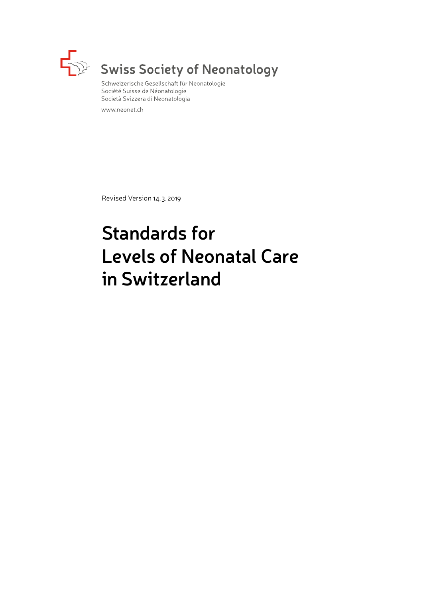

# $\mathbb{R}^2$  Swiss Society of Neonatology

Schweizerische Gesellschaft für Neonatologie Société Suisse de Néonatologie Società Svizzera di Neonatologia

www.neonet.ch

Revised Version 14. 3. 2019

# **Standards for Levels of Neonatal Care in Switzerland**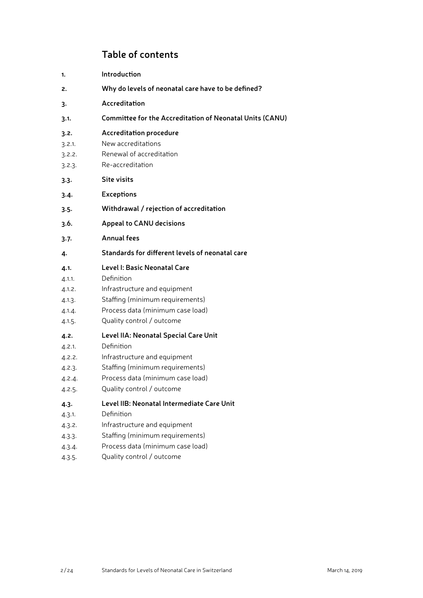## **Table of contents**

- **1. [Introduction](#page-3-0)**
- **2. [Why do levels of neonatal care have to be defined?](#page-3-0)**
- **3. [Accreditation](#page-4-0)**
- **3.1. [Committee for the Accreditation of Neonatal Units \(CANU\)](#page-4-0)**
- **3.2. [Accreditation procedure](#page-4-0)**
- 3.2.1. [New accreditations](#page-4-0)
- 3.2.2. [Renewal of accreditation](#page-4-0)
- 3.2.3. [Re-accreditation](#page-4-0)
- **3.3. [Site visits](#page-5-0)**
- **3.4. [Exceptions](#page-5-0)**
- **3.5. [Withdrawal / rejection of accreditation](#page-5-0)**
- **3.6. [Appeal to CANU decisions](#page-5-0)**
- **3.7. [Annual fees](#page-5-0)**
- **4. [Standards for different levels of neonatal care](#page-5-0)**

#### **4.1. [Level I: Basic Neonatal Care](#page-5-0)**

- 4.1.1. [Definition](#page-5-0)
- 4.1.2. [Infrastructure and equipment](#page-6-0)
- 4.1.3. [Staffing \(minimum requirements\)](#page-6-0)
- 4.1.4. [Process data \(minimum case load\)](#page-6-0)
- 4.1.5. [Quality control / outcome](#page-6-0)

#### **4.2. [Level IIA: Neonatal Special Care Unit](#page-6-0)**

- 4.2.1. [Definition](#page-6-0)
- 4.2.2. [Infrastructure and equipment](#page-7-0)
- 4.2.3. [Staffing \(minimum requirements\)](#page-7-0)
- 4.2.4. [Process data \(minimum case load\)](#page-7-0)
- 4.2.5. [Quality control / outcome](#page-8-0)

#### **4.3. [Level IIB: Neonatal Intermediate Care Unit](#page-8-0)**

- 4.3.1. [Definition](#page-8-0)
- 4.3.2. [Infrastructure and equipment](#page-8-0)
- 4.3.3. [Staffing \(minimum requirements\)](#page-8-0)
- 4.3.4. [Process data \(minimum case load\)](#page-9-0)
- 4.3.5. [Quality control / outcome](#page-9-0)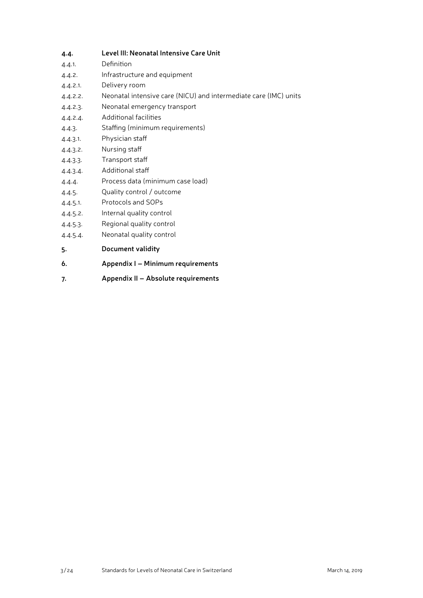#### **4.4. [Level III: Neonatal Intensive Care Unit](#page-9-0)**

- 4.4.1. [Definition](#page-9-0)
- 4.4.2. [Infrastructure and equipment](#page-10-0)
- 4.4.2.1. [Delivery room](#page-10-0)
- 4.4.2.2. [Neonatal intensive care \(NICU\) and intermediate care \(IMC\) units](#page-10-0)
- 4.4.2.3. [Neonatal emergency transport](#page-10-0)
- 4.4.2.4. [Additional facilities](#page-10-0)
- 4.4.3. [Staffing \(minimum requirements\)](#page-11-0)
- 4.4.3.1. [Physician staff](#page-11-0)
- 4.4.3.2. [Nursing staff](#page-11-0)
- 4.4.3.3. [Transport staff](#page-11-0)
- 4.4.3.4. [Additional staff](#page-12-0)
- 4.4.4. [Process data \(minimum case load\)](#page-12-0)
- 4.4.5. [Quality control / outcome](#page-12-0)
- 4.4.5.1. [Protocols and SOPs](#page-12-0)
- 4.4.5.2. [Internal quality control](#page-12-0)
- 4.4.5.3. [Regional quality control](#page-12-0)
- 4.4.5.4. [Neonatal quality control](#page-13-0)
- **5. [Document validity](#page-13-0)**
- **6. Appendix I Minimum requirements**
- **7. Appendix II Absolute requirements**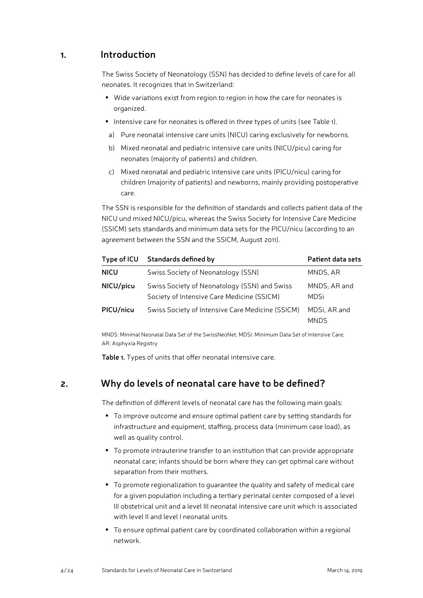### <span id="page-3-0"></span>**1. Introduction**

The Swiss Society of Neonatology (SSN) has decided to define levels of care for all neonates. It recognizes that in Switzerland:

- Wide variations exist from region to region in how the care for neonates is organized.
- Intensive care for neonates is offered in three types of units (see Table 1).
- a) Pure neonatal intensive care units (NICU) caring exclusively for newborns.
- b) Mixed neonatal and pediatric intensive care units (NICU/picu) caring for neonates (majority of patients) and children.
- c) Mixed neonatal and pediatric intensive care units (PICU/nicu) caring for children (majority of patients) and newborns, mainly providing postoperative care.

The SSN is responsible for the definition of standards and collects patient data of the NICU und mixed NICU/picu, whereas the Swiss Society for Intensive Care Medicine (SSICM) sets standards and minimum data sets for the PICU/nicu (according to an agreement between the SSN and the SSICM, August 2011).

| Type of ICU | Standards defined by                                                                       | Patient data sets           |
|-------------|--------------------------------------------------------------------------------------------|-----------------------------|
| <b>NICU</b> | Swiss Society of Neonatology (SSN)                                                         | MNDS, AR                    |
| NICU/picu   | Swiss Society of Neonatology (SSN) and Swiss<br>Society of Intensive Care Medicine (SSICM) | MNDS, AR and<br><b>MDSi</b> |
| PICU/nicu   | Swiss Society of Intensive Care Medicine (SSICM)                                           | MDSi, AR and<br><b>MNDS</b> |

MNDS: Minimal Neonatal Data Set of the SwissNeoNet; MDSi: Minimum Data Set of Intensive Care; AR: Asphyxia Registry

**Table 1.** Types of units that offer neonatal intensive care.

# **2. Why do levels of neonatal care have to be defined?**

The definition of different levels of neonatal care has the following main goals:

- To improve outcome and ensure optimal patient care by setting standards for infrastructure and equipment, staffing, process data (minimum case load), as well as quality control.
- To promote intrauterine transfer to an institution that can provide appropriate neonatal care; infants should be born where they can get optimal care without separation from their mothers.
- To promote regionalization to guarantee the quality and safety of medical care for a given population including a tertiary perinatal center composed of a level III obstetrical unit and a level III neonatal intensive care unit which is associated with level II and level I neonatal units.
- To ensure optimal patient care by coordinated collaboration within a regional network.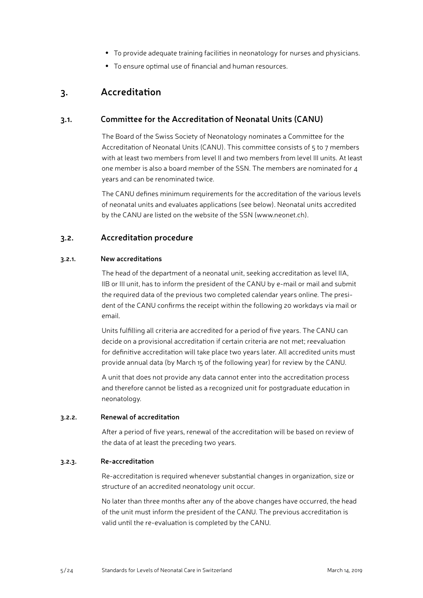- To provide adequate training facilities in neonatology for nurses and physicians.
- To ensure optimal use of financial and human resources.

## <span id="page-4-0"></span>**3. Accreditation**

#### **3.1. Committee for the Accreditation of Neonatal Units (CANU)**

The Board of the Swiss Society of Neonatology nominates a Committee for the Accreditation of Neonatal Units (CANU). This committee consists of 5 to 7 members with at least two members from level II and two members from level III units. At least one member is also a board member of the SSN. The members are nominated for 4 years and can be renominated twice.

The CANU defines minimum requirements for the accreditation of the various levels of neonatal units and evaluates applications (see below). Neonatal units accredited by the CANU are listed on the website of the SSN [\(www.neonet.ch\)](http://www.neonet.ch).

#### **3.2. Accreditation procedure**

#### **3.2.1. New accreditations**

The head of the department of a neonatal unit, seeking accreditation as level IIA, IIB or III unit, has to inform the president of the CANU by e-mail or mail and submit the required data of the previous two completed calendar years online. The president of the CANU confirms the receipt within the following 20 workdays via mail or email.

Units fulfilling all criteria are accredited for a period of five years. The CANU can decide on a provisional accreditation if certain criteria are not met; reevaluation for definitive accreditation will take place two years later. All accredited units must provide annual data (by March 15 of the following year) for review by the CANU.

A unit that does not provide any data cannot enter into the accreditation process and therefore cannot be listed as a recognized unit for postgraduate education in neonatology.

#### **3.2.2. Renewal of accreditation**

After a period of five years, renewal of the accreditation will be based on review of the data of at least the preceding two years.

#### **3.2.3. Re-accreditation**

Re-accreditation is required whenever substantial changes in organization, size or structure of an accredited neonatology unit occur.

No later than three months after any of the above changes have occurred, the head of the unit must inform the president of the CANU. The previous accreditation is valid until the re-evaluation is completed by the CANU.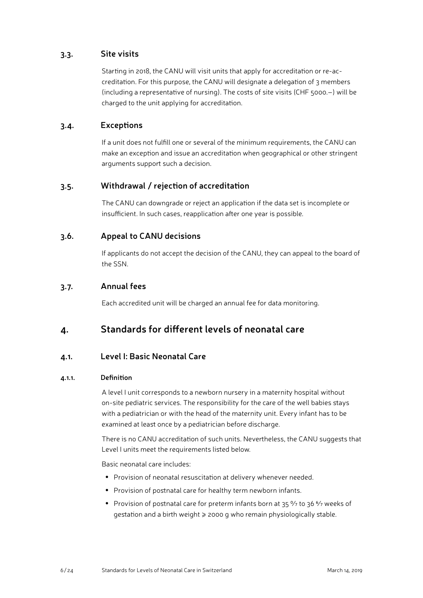#### <span id="page-5-0"></span>**3.3. Site visits**

Starting in 2018, the CANU will visit units that apply for accreditation or re-accreditation. For this purpose, the CANU will designate a delegation of 3 members (including a representative of nursing). The costs of site visits (CHF 5000.–) will be charged to the unit applying for accreditation.

#### **3.4. Exceptions**

If a unit does not fulfill one or several of the minimum requirements, the CANU can make an exception and issue an accreditation when geographical or other stringent arguments support such a decision.

#### **3.5. Withdrawal / rejection of accreditation**

The CANU can downgrade or reject an application if the data set is incomplete or insufficient. In such cases, reapplication after one year is possible.

#### **3.6. Appeal to CANU decisions**

If applicants do not accept the decision of the CANU, they can appeal to the board of the SSN.

#### **3.7. Annual fees**

Each accredited unit will be charged an annual fee for data monitoring.

## **4. Standards for different levels of neonatal care**

#### **4.1. Level I: Basic Neonatal Care**

#### **4.1.1. Definition**

A level I unit corresponds to a newborn nursery in a maternity hospital without on-site pediatric services. The responsibility for the care of the well babies stays with a pediatrician or with the head of the maternity unit. Every infant has to be examined at least once by a pediatrician before discharge.

There is no CANU accreditation of such units. Nevertheless, the CANU suggests that Level I units meet the requirements listed below.

Basic neonatal care includes:

- Provision of neonatal resuscitation at delivery whenever needed.
- Provision of postnatal care for healthy term newborn infants.
- Provision of postnatal care for preterm infants born at 35 % to 36 % weeks of gestation and a birth weight ≥ 2000 g who remain physiologically stable.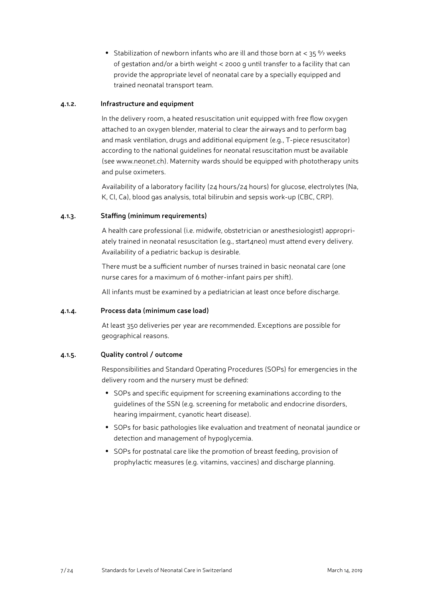<span id="page-6-0"></span>• Stabilization of newborn infants who are ill and those born at  $<$  35  $\frac{9}{7}$  weeks of gestation and/or a birth weight < 2000 g until transfer to a facility that can provide the appropriate level of neonatal care by a specially equipped and trained neonatal transport team.

#### **4.1.2. Infrastructure and equipment**

In the delivery room, a heated resuscitation unit equipped with free flow oxygen attached to an oxygen blender, material to clear the airways and to perform bag and mask ventilation, drugs and additional equipment (e.g., T-piece resuscitator) according to the national guidelines for neonatal resuscitation must be available (see [www.neonet.ch](http://www.neonet.ch)). Maternity wards should be equipped with phototherapy units and pulse oximeters.

Availability of a laboratory facility (24 hours/24 hours) for glucose, electrolytes (Na, K, Cl, Ca), blood gas analysis, total bilirubin and sepsis work-up (CBC, CRP).

#### **4.1.3. Staffing (minimum requirements)**

A health care professional (i.e. midwife, obstetrician or anesthesiologist) appropriately trained in neonatal resuscitation (e.g., start4neo) must attend every delivery. Availability of a pediatric backup is desirable.

There must be a sufficient number of nurses trained in basic neonatal care (one nurse cares for a maximum of 6 mother-infant pairs per shift).

All infants must be examined by a pediatrician at least once before discharge.

#### **4.1.4. Process data (minimum case load)**

At least 350 deliveries per year are recommended. Exceptions are possible for geographical reasons.

#### **4.1.5. Quality control / outcome**

Responsibilities and Standard Operating Procedures (SOPs) for emergencies in the delivery room and the nursery must be defined:

- SOPs and specific equipment for screening examinations according to the guidelines of the SSN (e.g. screening for metabolic and endocrine disorders, hearing impairment, cyanotic heart disease).
- SOPs for basic pathologies like evaluation and treatment of neonatal jaundice or detection and management of hypoglycemia.
- SOPs for postnatal care like the promotion of breast feeding, provision of prophylactic measures (e.g. vitamins, vaccines) and discharge planning.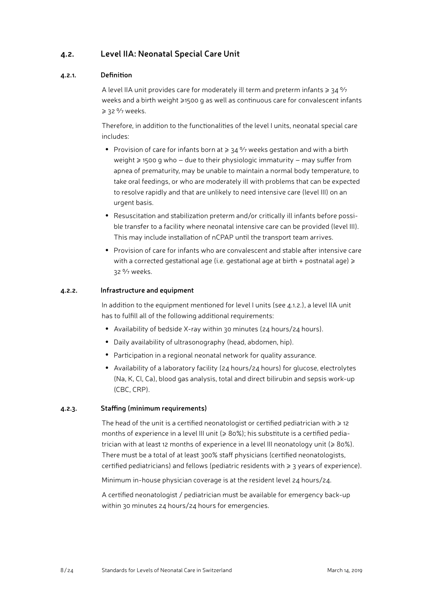#### <span id="page-7-0"></span>**4.2. Level IIA: Neonatal Special Care Unit**

#### **4.2.1. Definition**

A level IIA unit provides care for moderately ill term and preterm infants  $\geq 34\frac{9}{7}$ weeks and a birth weight ≥1500 g as well as continuous care for convalescent infants ≥ 32 % weeks.

Therefore, in addition to the functionalities of the level I units, neonatal special care includes:

- Provision of care for infants born at  $\geq 34$  % weeks gestation and with a birth weight ≥ 1500 g who – due to their physiologic immaturity – may suffer from apnea of prematurity, may be unable to maintain a normal body temperature, to take oral feedings, or who are moderately ill with problems that can be expected to resolve rapidly and that are unlikely to need intensive care (level III) on an urgent basis.
- Resuscitation and stabilization preterm and/or critically ill infants before possible transfer to a facility where neonatal intensive care can be provided (level III). This may include installation of nCPAP until the transport team arrives.
- Provision of care for infants who are convalescent and stable after intensive care with a corrected gestational age (i.e. gestational age at birth + postnatal age)  $\geq$ 32 0/7 weeks.

#### **4.2.2. Infrastructure and equipment**

In addition to the equipment mentioned for level I units (see 4.1.2.), a level IIA unit has to fulfill all of the following additional requirements:

- Availability of bedside X-ray within 30 minutes (24 hours/24 hours).
- Daily availability of ultrasonography (head, abdomen, hip).
- Participation in a regional neonatal network for quality assurance.
- Availability of a laboratory facility (24 hours/24 hours) for glucose, electrolytes (Na, K, Cl, Ca), blood gas analysis, total and direct bilirubin and sepsis work-up (CBC, CRP).

#### **4.2.3. Staffing (minimum requirements)**

The head of the unit is a certified neonatologist or certified pediatrician with  $\geq$  12 months of experience in a level III unit ( $\geqslant 80\%$ ); his substitute is a certified pediatrician with at least 12 months of experience in a level III neonatology unit ( $\geq 80\%$ ). There must be a total of at least 300% staff physicians (certified neonatologists, certified pediatricians) and fellows (pediatric residents with ≥ 3 years of experience).

Minimum in-house physician coverage is at the resident level 24 hours/24.

A certified neonatologist / pediatrician must be available for emergency back-up within 30 minutes 24 hours/24 hours for emergencies.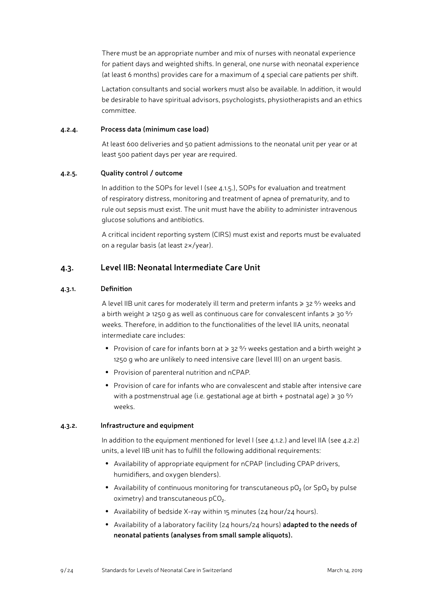<span id="page-8-0"></span>There must be an appropriate number and mix of nurses with neonatal experience for patient days and weighted shifts. In general, one nurse with neonatal experience (at least 6 months) provides care for a maximum of  $\mu$  special care patients per shift.

Lactation consultants and social workers must also be available. In addition, it would be desirable to have spiritual advisors, psychologists, physiotherapists and an ethics committee.

#### **4.2.4. Process data (minimum case load)**

At least 600 deliveries and 50 patient admissions to the neonatal unit per year or at least 500 patient days per year are required.

#### **4.2.5. Quality control / outcome**

In addition to the SOPs for level I (see 4.1.5.), SOPs for evaluation and treatment of respiratory distress, monitoring and treatment of apnea of prematurity, and to rule out sepsis must exist. The unit must have the ability to administer intravenous glucose solutions and antibiotics.

A critical incident reporting system (CIRS) must exist and reports must be evaluated on a regular basis (at least 2×/year).

#### **4.3. Level IIB: Neonatal Intermediate Care Unit**

#### **4.3.1. Definition**

A level IIB unit cares for moderately ill term and preterm infants  $\geq 32\%$  weeks and a birth weight  $\geq$  1250 g as well as continuous care for convalescent infants  $\geq$  30  $\frac{9}{7}$ weeks. Therefore, in addition to the functionalities of the level IIA units, neonatal intermediate care includes:

- Provision of care for infants born at  $\geq 32$  % weeks gestation and a birth weight  $\geq$ 1250 g who are unlikely to need intensive care (level III) on an urgent basis.
- Provision of parenteral nutrition and nCPAP.
- Provision of care for infants who are convalescent and stable after intensive care with a postmenstrual age (i.e. gestational age at birth + postnatal age)  $\geq 30\%$ weeks.

#### **4.3.2. Infrastructure and equipment**

In addition to the equipment mentioned for level I (see 4.1.2.) and level IIA (see 4.2.2) units, a level IIB unit has to fulfill the following additional requirements:

- Availability of appropriate equipment for nCPAP (including CPAP drivers, humidifiers, and oxygen blenders).
- Availability of continuous monitoring for transcutaneous  $pO<sub>2</sub>$  (or SpO<sub>2</sub> by pulse  $o$ ximetry) and transcutaneous  $pCO<sub>2</sub>$ .
- Availability of bedside X-ray within 15 minutes (24 hour/24 hours).
- Availability of a laboratory facility (24 hours/24 hours) **adapted to the needs of neonatal patients (analyses from small sample aliquots).**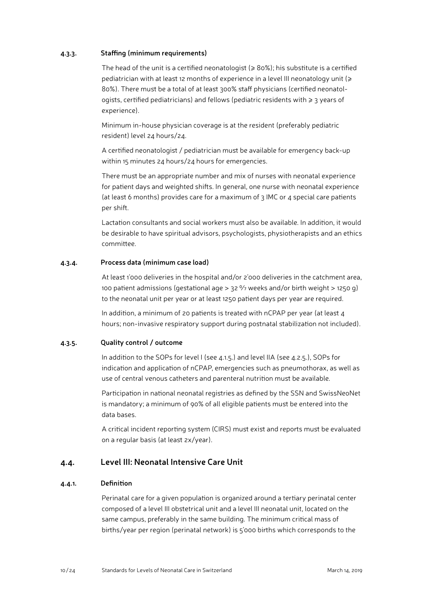#### <span id="page-9-0"></span>**4.3.3. Staffing (minimum requirements)**

The head of the unit is a certified neonatologist ( $\geq 80\%$ ); his substitute is a certified pediatrician with at least 12 months of experience in a level III neonatology unit (≥ 80%). There must be a total of at least 300% staff physicians (certified neonatologists, certified pediatricians) and fellows (pediatric residents with ≥ 3 years of experience).

Minimum in-house physician coverage is at the resident (preferably pediatric resident) level 24 hours/24.

A certified neonatologist / pediatrician must be available for emergency back-up within 15 minutes 24 hours/24 hours for emergencies.

There must be an appropriate number and mix of nurses with neonatal experience for patient days and weighted shifts. In general, one nurse with neonatal experience (at least 6 months) provides care for a maximum of 3 IMC or 4 special care patients per shift.

Lactation consultants and social workers must also be available. In addition, it would be desirable to have spiritual advisors, psychologists, physiotherapists and an ethics committee.

#### **4.3.4. Process data (minimum case load)**

At least 1'000 deliveries in the hospital and/or 2'000 deliveries in the catchment area, 100 patient admissions (gestational age  $> 32\%$  weeks and/or birth weight  $> 1250$  g) to the neonatal unit per year or at least 1250 patient days per year are required.

In addition, a minimum of 20 patients is treated with nCPAP per year (at least 4 hours; non-invasive respiratory support during postnatal stabilization not included).

#### **4.3.5. Quality control / outcome**

In addition to the SOPs for level I (see 4.1.5.) and level IIA (see 4.2.5.), SOPs for indication and application of nCPAP, emergencies such as pneumothorax, as well as use of central venous catheters and parenteral nutrition must be available.

Participation in national neonatal registries as defined by the SSN and SwissNeoNet is mandatory; a minimum of 90% of all eligible patients must be entered into the data bases.

A critical incident reporting system (CIRS) must exist and reports must be evaluated on a regular basis (at least 2x/year).

#### **4.4. Level III: Neonatal Intensive Care Unit**

#### **4.4.1. Definition**

Perinatal care for a given population is organized around a tertiary perinatal center composed of a level III obstetrical unit and a level III neonatal unit, located on the same campus, preferably in the same building. The minimum critical mass of births/year per region (perinatal network) is 5'000 births which corresponds to the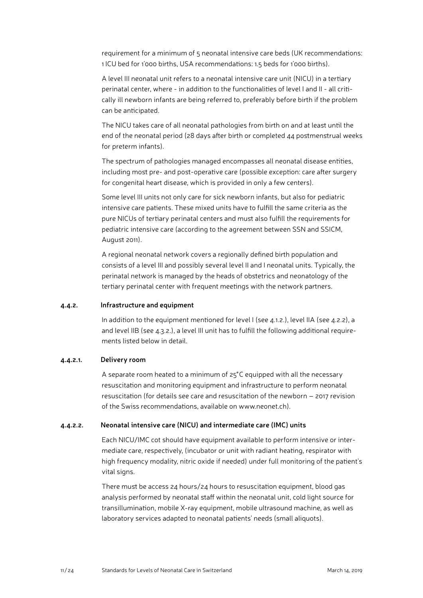<span id="page-10-0"></span>requirement for a minimum of 5 neonatal intensive care beds (UK recommendations: 1 ICU bed for 1'000 births, USA recommendations: 1.5 beds for 1'000 births).

A level III neonatal unit refers to a neonatal intensive care unit (NICU) in a tertiary perinatal center, where - in addition to the functionalities of level I and II - all critically ill newborn infants are being referred to, preferably before birth if the problem can be anticipated.

The NICU takes care of all neonatal pathologies from birth on and at least until the end of the neonatal period (28 days after birth or completed 44 postmenstrual weeks for preterm infants).

The spectrum of pathologies managed encompasses all neonatal disease entities, including most pre- and post-operative care (possible exception: care after surgery for congenital heart disease, which is provided in only a few centers).

Some level III units not only care for sick newborn infants, but also for pediatric intensive care patients. These mixed units have to fulfill the same criteria as the pure NICUs of tertiary perinatal centers and must also fulfill the requirements for pediatric intensive care (according to the agreement between SSN and SSICM, August 2011).

A regional neonatal network covers a regionally defined birth population and consists of a level III and possibly several level II and I neonatal units. Typically, the perinatal network is managed by the heads of obstetrics and neonatology of the tertiary perinatal center with frequent meetings with the network partners.

#### **4.4.2. Infrastructure and equipment**

In addition to the equipment mentioned for level I (see 4.1.2.), level IIA (see 4.2.2), a and level IIB (see 4.3.2.), a level III unit has to fulfill the following additional requirements listed below in detail.

#### **4.4.2.1. Delivery room**

A separate room heated to a minimum of 25° C equipped with all the necessary resuscitation and monitoring equipment and infrastructure to perform neonatal resuscitation (for details see care and resuscitation of the newborn – 2017 revision of the Swiss recommendations, available on [www.neonet.ch\)](http://www.neonet.ch).

#### **4.4.2.2. Neonatal intensive care (NICU) and intermediate care (IMC) units**

Each NICU/IMC cot should have equipment available to perform intensive or intermediate care, respectively, (incubator or unit with radiant heating, respirator with high frequency modality, nitric oxide if needed) under full monitoring of the patient's vital signs.

There must be access 24 hours/24 hours to resuscitation equipment, blood gas analysis performed by neonatal staff within the neonatal unit, cold light source for transillumination, mobile X-ray equipment, mobile ultrasound machine, as well as laboratory services adapted to neonatal patients' needs (small aliquots).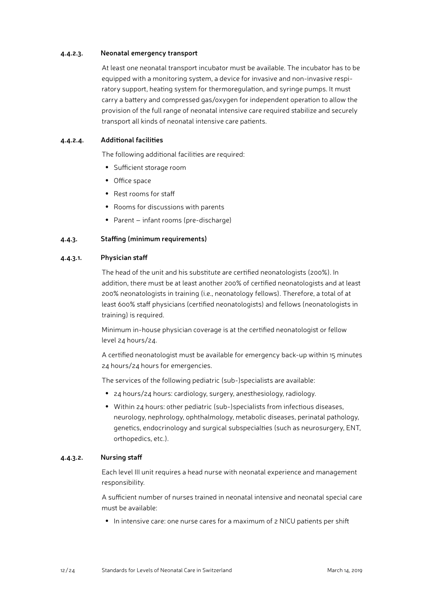#### <span id="page-11-0"></span>**4.4.2.3. Neonatal emergency transport**

At least one neonatal transport incubator must be available. The incubator has to be equipped with a monitoring system, a device for invasive and non-invasive respiratory support, heating system for thermoregulation, and syringe pumps. It must carry a battery and compressed gas/oxygen for independent operation to allow the provision of the full range of neonatal intensive care required stabilize and securely transport all kinds of neonatal intensive care patients.

#### **4.4.2.4. Additional facilities**

The following additional facilities are required:

- Sufficient storage room
- Office space
- Rest rooms for staff
- Rooms for discussions with parents
- Parent infant rooms (pre-discharge)

#### **4.4.3. Staffing (minimum requirements)**

#### **4.4.3.1. Physician staff**

The head of the unit and his substitute are certified neonatologists (200%). In addition, there must be at least another 200% of certified neonatologists and at least 200% neonatologists in training (i.e., neonatology fellows). Therefore, a total of at least 600% staff physicians (certified neonatologists) and fellows (neonatologists in training) is required.

Minimum in-house physician coverage is at the certified neonatologist or fellow level 24 hours/24.

A certified neonatologist must be available for emergency back-up within 15 minutes 24 hours/24 hours for emergencies.

The services of the following pediatric (sub-)specialists are available:

- 24 hours/24 hours: cardiology, surgery, anesthesiology, radiology.
- Within 24 hours: other pediatric (sub-)specialists from infectious diseases, neurology, nephrology, ophthalmology, metabolic diseases, perinatal pathology, genetics, endocrinology and surgical subspecialties (such as neurosurgery, ENT, orthopedics, etc.).

#### **4.4.3.2. Nursing staff**

Each level III unit requires a head nurse with neonatal experience and management responsibility.

A sufficient number of nurses trained in neonatal intensive and neonatal special care must be available:

● In intensive care: one nurse cares for a maximum of 2 NICU patients per shift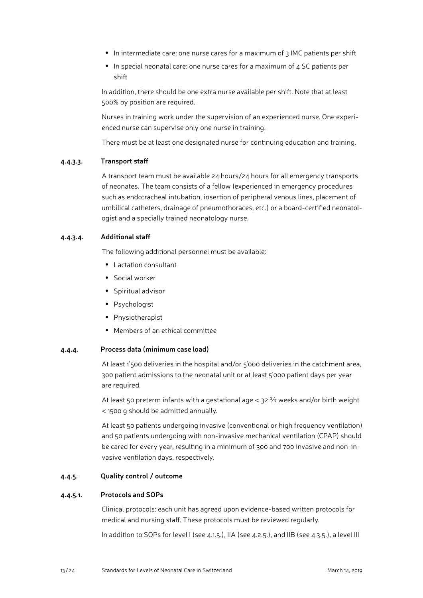- <span id="page-12-0"></span>● In intermediate care: one nurse cares for a maximum of 3 IMC patients per shift
- In special neonatal care: one nurse cares for a maximum of 4 SC patients per shift

In addition, there should be one extra nurse available per shift. Note that at least 500% by position are required.

Nurses in training work under the supervision of an experienced nurse. One experienced nurse can supervise only one nurse in training.

There must be at least one designated nurse for continuing education and training.

#### **4.4.3.3. Transport staff**

A transport team must be available 24 hours/24 hours for all emergency transports of neonates. The team consists of a fellow (experienced in emergency procedures such as endotracheal intubation, insertion of peripheral venous lines, placement of umbilical catheters, drainage of pneumothoraces, etc.) or a board-certified neonatologist and a specially trained neonatology nurse.

#### **4.4.3.4. Additional staff**

The following additional personnel must be available:

- Lactation consultant
- Social worker
- Spiritual advisor
- Psychologist
- Physiotherapist
- Members of an ethical committee

#### **4.4.4. Process data (minimum case load)**

At least 1'500 deliveries in the hospital and/or 5'000 deliveries in the catchment area, 300 patient admissions to the neonatal unit or at least 5'000 patient days per year are required.

At least 50 preterm infants with a gestational age  $<$  32  $\%$  weeks and/or birth weight < 1500 g should be admitted annually.

At least 50 patients undergoing invasive (conventional or high frequency ventilation) and 50 patients undergoing with non-invasive mechanical ventilation (CPAP) should be cared for every year, resulting in a minimum of 300 and 700 invasive and non-invasive ventilation days, respectively.

#### **4.4.5. Quality control / outcome**

#### **4.4.5.1. Protocols and SOPs**

Clinical protocols: each unit has agreed upon evidence-based written protocols for medical and nursing staff. These protocols must be reviewed regularly.

In addition to SOPs for level I (see 4.1.5.), IIA (see 4.2.5.), and IIB (see 4.3.5.), a level III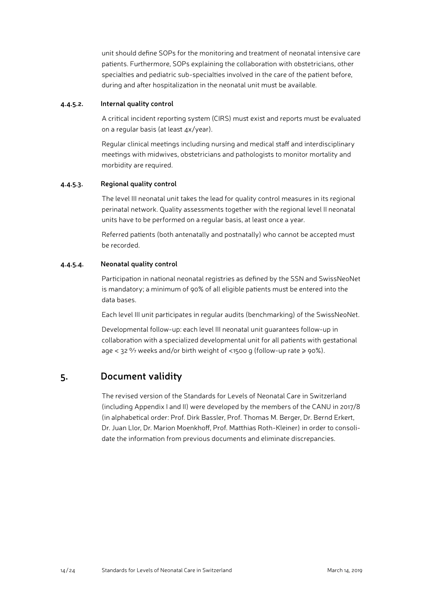<span id="page-13-0"></span>unit should define SOPs for the monitoring and treatment of neonatal intensive care patients. Furthermore, SOPs explaining the collaboration with obstetricians, other specialties and pediatric sub-specialties involved in the care of the patient before, during and after hospitalization in the neonatal unit must be available.

#### **4.4.5.2. Internal quality control**

A critical incident reporting system (CIRS) must exist and reports must be evaluated on a regular basis (at least 4x/year).

Regular clinical meetings including nursing and medical staff and interdisciplinary meetings with midwives, obstetricians and pathologists to monitor mortality and morbidity are required.

#### **4.4.5.3. Regional quality control**

The level III neonatal unit takes the lead for quality control measures in its regional perinatal network. Quality assessments together with the regional level II neonatal units have to be performed on a regular basis, at least once a year.

Referred patients (both antenatally and postnatally) who cannot be accepted must be recorded.

#### **4.4.5.4. Neonatal quality control**

Participation in national neonatal registries as defined by the SSN and SwissNeoNet is mandatory; a minimum of 90% of all eligible patients must be entered into the data bases.

Each level III unit participates in regular audits (benchmarking) of the SwissNeoNet.

Developmental follow-up: each level III neonatal unit guarantees follow-up in collaboration with a specialized developmental unit for all patients with gestational age < 32  $\%$  weeks and/or birth weight of <1500 g (follow-up rate  $\ge$  90%).

### **5. Document validity**

The revised version of the Standards for Levels of Neonatal Care in Switzerland (including Appendix I and II) were developed by the members of the CANU in 2017/8 (in alphabetical order: Prof. Dirk Bassler, Prof. Thomas M. Berger, Dr. Bernd Erkert, Dr. Juan Llor, Dr. Marion Moenkhoff, Prof. Matthias Roth-Kleiner) in order to consolidate the information from previous documents and eliminate discrepancies.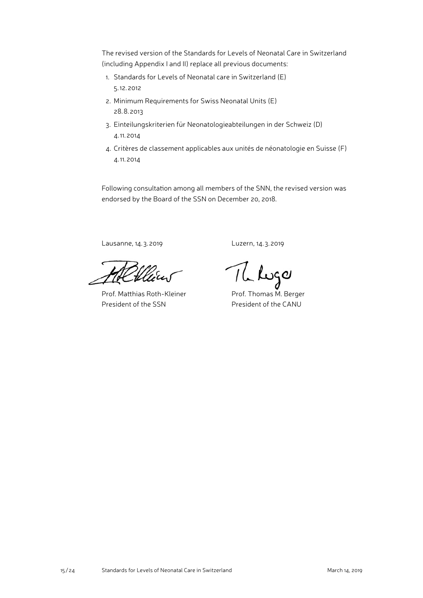The revised version of the Standards for Levels of Neonatal Care in Switzerland (including Appendix I and II) replace all previous documents:

- 1. Standards for Levels of Neonatal care in Switzerland (E) 5. 12. 2012
- 2. Minimum Requirements for Swiss Neonatal Units (E) 28. 8. 2013
- 3. Einteilungskriterien für Neonatologieabteilungen in der Schweiz (D) 4. 11. 2014
- 4. Critères de classement applicables aux unités de néonatologie en Suisse (F) 4. 11. 2014

Following consultation among all members of the SNN, the revised version was endorsed by the Board of the SSN on December 20, 2018.

Lausanne, 14. 3. 2019 Luzern, 14. 3. 2019

Prof. Matthias Roth-Kleiner Prof. Thomas M. Berger President of the SSN President of the CANU

The Lugar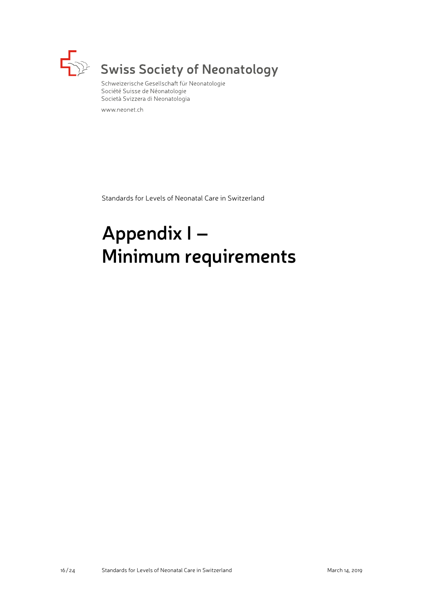

# Swiss Society of Neonatology

Schweizerische Gesellschaft für Neonatologie Société Suisse de Néonatologie Società Svizzera di Neonatologia

www.neonet.ch

Standards for Levels of Neonatal Care in Switzerland

# **Appendix I – Minimum requirements**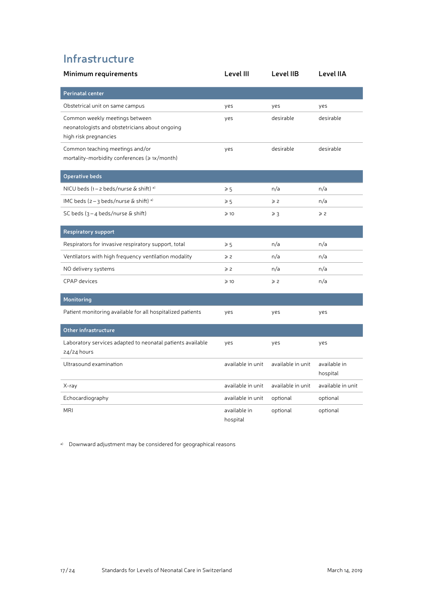# **Infrastructure**

| Minimum requirements                                                                                      | Level III                | Level IIB         | Level IIA                |
|-----------------------------------------------------------------------------------------------------------|--------------------------|-------------------|--------------------------|
| <b>Perinatal center</b>                                                                                   |                          |                   |                          |
| Obstetrical unit on same campus                                                                           | yes                      | yes               | yes                      |
| Common weekly meetings between<br>neonatologists and obstetricians about ongoing<br>high risk pregnancies | yes                      | desirable         | desirable                |
| Common teaching meetings and/or<br>mortality-morbidity conferences ( $\geqslant$ 1x/month)                | yes                      | desirable         | desirable                |
| <b>Operative beds</b>                                                                                     |                          |                   |                          |
| NICU beds (1-2 beds/nurse & shift) a)                                                                     | $\geqslant 5$            | n/a               | n/a                      |
| IMC beds $(2 - 3 \text{ beds/nurse} \& \text{shift})$ <sup>a)</sup>                                       | $\geqslant 5$            | $\geqslant$ 2     | n/a                      |
| SC beds $(3 - 4$ beds/nurse & shift)                                                                      | $\geqslant$ 10           | $\geq 3$          | $\geqslant$ 2            |
| <b>Respiratory support</b>                                                                                |                          |                   |                          |
| Respirators for invasive respiratory support, total                                                       | $\geqslant 5$            | n/a               | n/a                      |
| Ventilators with high frequency ventilation modality                                                      | $\geqslant$ 2            | n/a               | n/a                      |
| NO delivery systems                                                                                       | $\geqslant$ 2            | n/a               | n/a                      |
| <b>CPAP</b> devices                                                                                       | $\geqslant$ 10           | $\geqslant$ 2     | n/a                      |
| Monitoring                                                                                                |                          |                   |                          |
| Patient monitoring available for all hospitalized patients                                                | yes                      | yes               | yes                      |
| Other infrastructure                                                                                      |                          |                   |                          |
| Laboratory services adapted to neonatal patients available<br>$24/24$ hours                               | yes                      | yes               | yes                      |
| Ultrasound examination                                                                                    | available in unit        | available in unit | available in<br>hospital |
| X-ray                                                                                                     | available in unit        | available in unit | available in unit        |
| Echocardiography                                                                                          | available in unit        | optional          | optional                 |
| <b>MRI</b>                                                                                                | available in<br>hospital | optional          | optional                 |

a) Downward adjustment may be considered for geographical reasons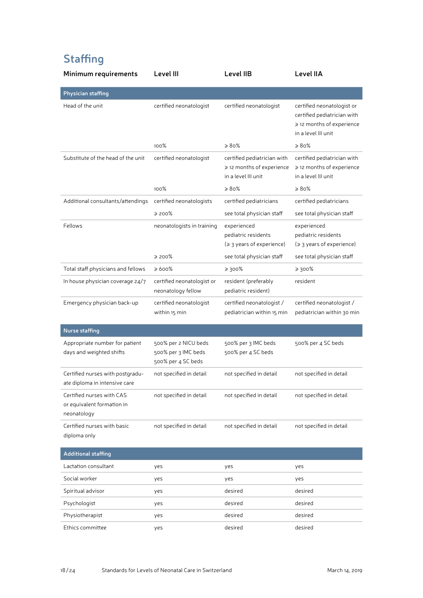# **Staffing**

| Minimum requirements                                                   | Level III                                                         | Level IIB                                                                       | Level IIA                                                                                                     |
|------------------------------------------------------------------------|-------------------------------------------------------------------|---------------------------------------------------------------------------------|---------------------------------------------------------------------------------------------------------------|
| Physician staffing                                                     |                                                                   |                                                                                 |                                                                                                               |
| Head of the unit                                                       | certified neonatologist                                           | certified neonatologist                                                         | certified neonatologist or<br>certified pediatrician with<br>≥ 12 months of experience<br>in a level III unit |
|                                                                        | 100%                                                              | $\geqslant 80\%$                                                                | $\geqslant 80\%$                                                                                              |
| Substitute of the head of the unit                                     | certified neonatologist                                           | certified pediatrician with<br>≥ 12 months of experience<br>in a level III unit | certified pediatrician with<br>≥ 12 months of experience<br>in a level III unit                               |
|                                                                        | 100%                                                              | $\geqslant 80\%$                                                                | $\geqslant 80\%$                                                                                              |
| Additional consultants/attendings                                      | certified neonatologists                                          | certified pediatricians                                                         | certified pediatricians                                                                                       |
|                                                                        | ≥ 200%                                                            | see total physician staff                                                       | see total physician staff                                                                                     |
| Fellows                                                                | neonatologists in training                                        | experienced<br>pediatric residents<br>(≥ 3 years of experience)                 | experienced<br>pediatric residents<br>(≥ 3 years of experience)                                               |
|                                                                        | ≥ 200%                                                            | see total physician staff                                                       | see total physician staff                                                                                     |
| Total staff physicians and fellows                                     | ≫ 600%                                                            | 800% ≼                                                                          | ≥ 300%                                                                                                        |
| In house physician coverage 24/7                                       | certified neonatologist or<br>neonatology fellow                  | resident (preferably<br>pediatric resident)                                     | resident                                                                                                      |
| Emergency physician back-up                                            | certified neonatologist<br>within 15 min                          | certified neonatologist /<br>pediatrician within 15 min                         | certified neonatologist /<br>pediatrician within 30 min                                                       |
| Nurse staffing                                                         |                                                                   |                                                                                 |                                                                                                               |
| Appropriate number for patient<br>days and weighted shifts             | 500% per 2 NICU beds<br>500% per 3 IMC beds<br>500% per 4 SC beds | 500% per 3 IMC beds<br>500% per 4 SC beds                                       | 500% per 4 SC beds                                                                                            |
| Certified nurses with postgradu-<br>ate diploma in intensive care      | not specified in detail                                           | not specified in detail                                                         | not specified in detail                                                                                       |
| Certified nurses with CAS<br>or equivalent formation in<br>neonatology | not specified in detail                                           | not specified in detail                                                         | not specified in detail                                                                                       |
| Certified nurses with basic<br>diploma only                            | not specified in detail                                           | not specified in detail                                                         | not specified in detail                                                                                       |
| <b>Additional staffing</b>                                             |                                                                   |                                                                                 |                                                                                                               |
| Lactation consultant                                                   | yes                                                               | yes                                                                             | yes                                                                                                           |
| Social worker                                                          | yes                                                               | yes                                                                             | yes                                                                                                           |
| Spiritual advisor                                                      | yes                                                               | desired                                                                         | desired                                                                                                       |
| Psychologist                                                           | yes                                                               | desired                                                                         | desired                                                                                                       |
| Physiotherapist                                                        | yes                                                               | desired                                                                         | desired                                                                                                       |
| Ethics committee                                                       | yes                                                               | desired                                                                         | desired                                                                                                       |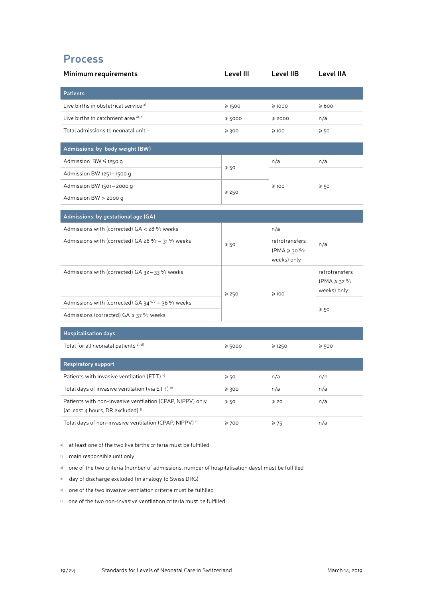# **Process**

| Minimum requirements                                                   | Level III       | Level IIB                                        | Level IIA                                                  |
|------------------------------------------------------------------------|-----------------|--------------------------------------------------|------------------------------------------------------------|
| <b>Patients</b>                                                        |                 |                                                  |                                                            |
| Live births in obstetrical service a)                                  | $\geq 1500$     | $\geqslant$ 1000                                 | ≥600                                                       |
| Live births in catchment area <sup>a), b)</sup>                        | ≥5000           | ≥ 2000                                           | n/a                                                        |
| Total admissions to neonatal unit c)                                   | $\geq 300$      | $\geqslant$ 100                                  | $\geqslant$ 50                                             |
| Admissions: by body weight (BW)                                        |                 |                                                  |                                                            |
| Admission BW ≤ 1250 g                                                  |                 | n/a                                              | n/a                                                        |
| Admission BW 1251-1500 g                                               | $\geqslant 50$  |                                                  |                                                            |
| Admission BW 1501-2000 g                                               |                 | $\geqslant$ 100                                  | $\geqslant 50$                                             |
| Admission BW $>$ 2000 g                                                | $\ge 250$       |                                                  |                                                            |
| Admissions: by gestational age (GA)                                    |                 |                                                  |                                                            |
| Admissions with (corrected) GA < 28 % weeks                            |                 | n/a                                              |                                                            |
| Admissions with (corrected) GA 28 % - 31 % weeks                       | $\geqslant 50$  | retrotransfers<br>$(PMA \ge 30\%$<br>weeks) only | n/a                                                        |
| Admissions with (corrected) GA 32-33 % weeks                           | ≥ 250           | $\geqslant$ 100                                  | retrotransfers<br>$(PMA \ge 32\frac{9}{7})$<br>weeks) only |
| Admissions with (corrected) GA $34^{\circ/7}$ – 36 $\frac{6}{7}$ weeks |                 |                                                  | $\geqslant$ 50                                             |
| Admissions (corrected) GA ≥ 37 % weeks                                 |                 |                                                  |                                                            |
| <b>Hospitalisation days</b>                                            |                 |                                                  |                                                            |
| Total for all neonatal patients c), d)                                 | $\geq 5000$     | ≥ 1250                                           | $\geqslant$ 500                                            |
| <b>Respiratory support</b>                                             |                 |                                                  |                                                            |
| Patients with invasive ventilation (ETT) <sup>e)</sup>                 | $\geqslant 50$  | n/a                                              | n/n                                                        |
| Total days of invasive ventilation (via ETT) e)                        | $\geqslant$ 300 | n/a                                              | n/a                                                        |
| Patients with non-invasive ventilation (CPAP, NIPPV) only              | $\geqslant$ 50  | $\geqslant$ 20                                   | n/a                                                        |

(at least 4 hours, DR excluded) f) Total days of non-invasive ventilation (CPAP, NIPPV)<sup> $f$ </sup>  $\geq$  700  $\geq$  75 n/a

a) at least one of the two live births criteria must be fulfilled

b) main responsible unit only

c) one of the two criteria (number of admissions, number of hospitalisation days) must be fulfilled

d) day of discharge excluded (in analogy to Swiss DRG)

e) one of the two invasive ventilation criteria must be fulfilled

f) one of the two non-invasive ventilation criteria must be fulfilled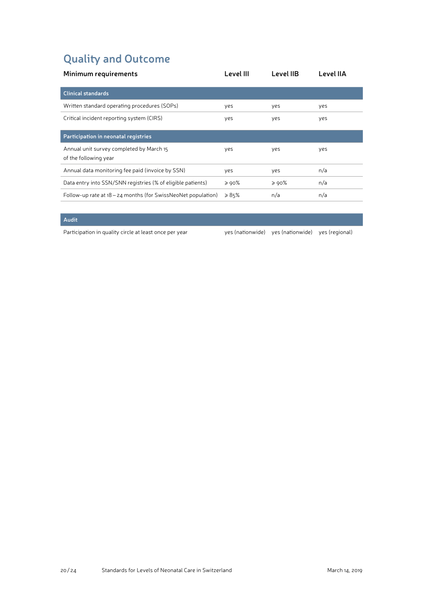# **Quality and Outcome**

| Minimum requirements                                              | Level III        | Level IIB       | Level IIA |
|-------------------------------------------------------------------|------------------|-----------------|-----------|
| <b>Clinical standards</b>                                         |                  |                 |           |
| Written standard operating procedures (SOPs)                      | yes              | yes             | yes       |
| Critical incident reporting system (CIRS)                         | yes              | yes             | yes       |
| Participation in neonatal registries                              |                  |                 |           |
| Annual unit survey completed by March 15<br>of the following year | yes              | yes             | yes       |
| Annual data monitoring fee paid (invoice by SSN)                  | yes              | yes             | n/a       |
| Data entry into SSN/SNN registries (% of eligible patients)       | $\geqslant$ 90%  | $\geqslant$ 90% | n/a       |
| Follow-up rate at 18 - 24 months (for SwissNeoNet population)     | $\geqslant 85\%$ | n/a             | n/a       |

#### **Audit**

Participation in quality circle at least once per year year yes (nationwide) yes (nationwide) yes (regional)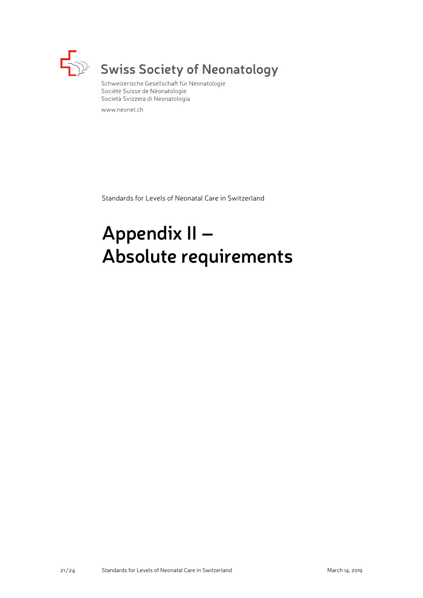

# Swiss Society of Neonatology

Schweizerische Gesellschaft für Neonatologie Société Suisse de Néonatologie Società Svizzera di Neonatologia

www.neonet.ch

Standards for Levels of Neonatal Care in Switzerland

# **Appendix II – Absolute requirements**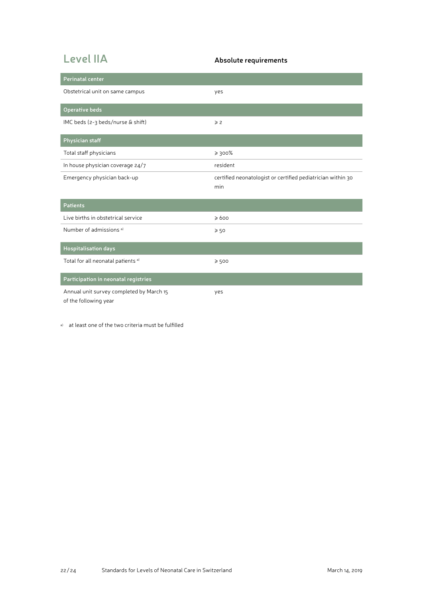# **Level IIA Absolute requirements**

| <b>Perinatal center</b>                                           |                                                                    |
|-------------------------------------------------------------------|--------------------------------------------------------------------|
| Obstetrical unit on same campus                                   | yes                                                                |
| Operative beds                                                    |                                                                    |
| IMC beds (2-3 beds/nurse & shift)                                 | $\geqslant$ 2                                                      |
| Physician staff                                                   |                                                                    |
| Total staff physicians                                            | $\geq 300\%$                                                       |
| In house physician coverage 24/7                                  | resident                                                           |
| Emergency physician back-up                                       | certified neonatologist or certified pediatrician within 30<br>min |
| <b>Patients</b>                                                   |                                                                    |
| Live births in obstetrical service                                | $\geqslant 600$                                                    |
| Number of admissions <sup>a)</sup>                                | $\geqslant 50$                                                     |
| <b>Hospitalisation days</b>                                       |                                                                    |
| Total for all neonatal patients <sup>a)</sup>                     | $\geqslant 500$                                                    |
| Participation in neonatal registries                              |                                                                    |
| Annual unit survey completed by March 15<br>of the following year | yes                                                                |

a) at least one of the two criteria must be fulfilled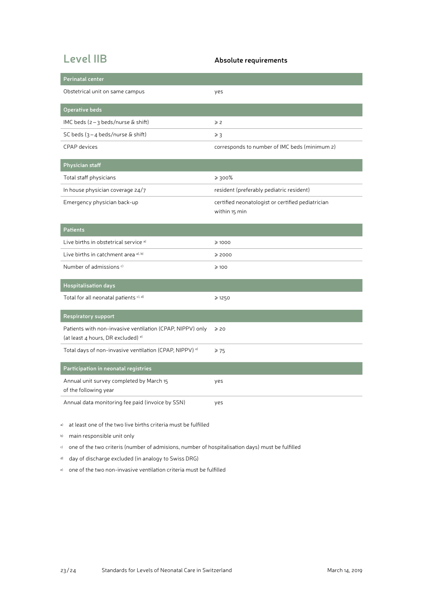# **Level IIB Absolute requirements**

| Perinatal center                                                                                           |                                                                    |
|------------------------------------------------------------------------------------------------------------|--------------------------------------------------------------------|
| Obstetrical unit on same campus                                                                            | yes                                                                |
| <b>Operative beds</b>                                                                                      |                                                                    |
| IMC beds $(z - 3$ beds/nurse & shift)                                                                      | $\geqslant$ 2                                                      |
| SC beds $(3 - 4$ beds/nurse & shift)                                                                       | $\geqslant$ 3                                                      |
| <b>CPAP</b> devices                                                                                        | corresponds to number of IMC beds (minimum 2)                      |
| Physician staff                                                                                            |                                                                    |
| Total staff physicians                                                                                     | $\geq 300\%$                                                       |
| In house physician coverage 24/7                                                                           | resident (preferably pediatric resident)                           |
| Emergency physician back-up                                                                                | certified neonatologist or certified pediatrician<br>within 15 min |
| <b>Patients</b>                                                                                            |                                                                    |
| Live births in obstetrical service a)                                                                      | $\geqslant$ 1000                                                   |
| Live births in catchment area <sup>a), b)</sup>                                                            | ≥ 2000                                                             |
| Number of admissions <sup>c)</sup>                                                                         | $\geqslant$ 100                                                    |
| <b>Hospitalisation</b> days                                                                                |                                                                    |
| Total for all neonatal patients c), d)                                                                     | ≥ 1250                                                             |
| <b>Respiratory support</b>                                                                                 |                                                                    |
| Patients with non-invasive ventilation (CPAP, NIPPV) only<br>(at least 4 hours, DR excluded) <sup>e)</sup> | $\geqslant$ 20                                                     |
| Total days of non-invasive ventilation (CPAP, NIPPV) <sup>e)</sup>                                         | $\geq 75$                                                          |
| Participation in neonatal registries                                                                       |                                                                    |
| Annual unit survey completed by March 15<br>of the following year                                          | yes                                                                |
| Annual data monitoring fee paid (invoice by SSN)                                                           | yes                                                                |

a) at least one of the two live births criteria must be fulfilled

b) main responsible unit only

c) one of the two criteris (number of admisions, number of hospitalisation days) must be fulfilled

d) day of discharge excluded (in analogy to Swiss DRG)

e) one of the two non-invasive ventilation criteria must be fulfilled